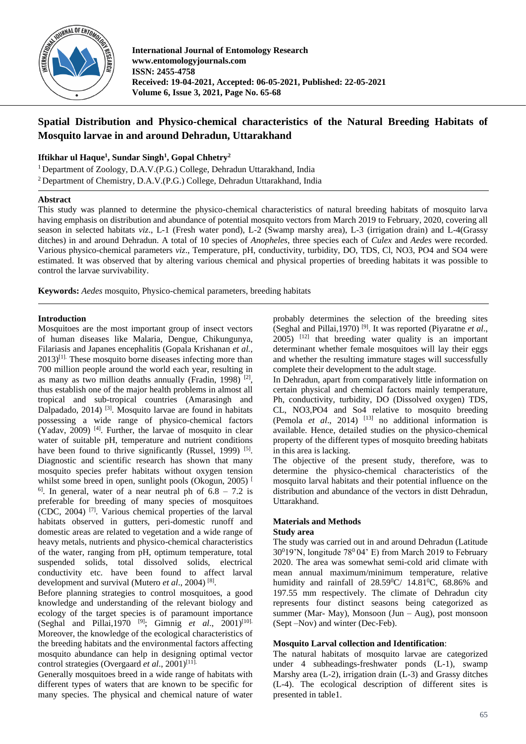

**International Journal of Entomology Research www.entomologyjournals.com ISSN: 2455-4758 Received: 19-04-2021, Accepted: 06-05-2021, Published: 22-05-2021 Volume 6, Issue 3, 2021, Page No. 65-68**

# **Spatial Distribution and Physico-chemical characteristics of the Natural Breeding Habitats of Mosquito larvae in and around Dehradun, Uttarakhand**

# **Iftikhar ul Haque<sup>1</sup> , Sundar Singh<sup>1</sup> , Gopal Chhetry<sup>2</sup>**

<sup>1</sup> Department of Zoology, D.A.V.(P.G.) College, Dehradun Uttarakhand, India <sup>2</sup> Department of Chemistry, D.A.V.(P.G.) College, Dehradun Uttarakhand, India

## **Abstract**

This study was planned to determine the physico-chemical characteristics of natural breeding habitats of mosquito larva having emphasis on distribution and abundance of potential mosquito vectors from March 2019 to February, 2020, covering all season in selected habitats *viz*., L-1 (Fresh water pond), L-2 (Swamp marshy area), L-3 (irrigation drain) and L-4(Grassy ditches) in and around Dehradun. A total of 10 species of *Anopheles*, three species each of *Culex* and *Aedes* were recorded. Various physico-chemical parameters *viz*., Temperature, pH, conductivity, turbidity, DO, TDS, Cl, NO3, PO4 and SO4 were estimated. It was observed that by altering various chemical and physical properties of breeding habitats it was possible to control the larvae survivability.

**Keywords:** *Aedes* mosquito, Physico-chemical parameters, breeding habitats

## **Introduction**

Mosquitoes are the most important group of insect vectors of human diseases like Malaria, Dengue, Chikungunya, Filariasis and Japanes encephalitis (Gopala Krishanan *et al.*,  $2013$ <sup>[1].</sup> These mosquito borne diseases infecting more than 700 million people around the world each year, resulting in as many as two million deaths annually (Fradin, 1998)<sup>[2]</sup>, thus establish one of the major health problems in almost all tropical and sub-tropical countries (Amarasingh and Dalpadado,  $2014$ )<sup>[3]</sup>. Mosquito larvae are found in habitats possessing a wide range of physico-chemical factors (Yadav, 2009) [4] . Further, the larvae of mosquito in clear water of suitable pH, temperature and nutrient conditions have been found to thrive significantly (Russel, 1999) [5]. Diagnostic and scientific research has shown that many mosquito species prefer habitats without oxygen tension whilst some breed in open, sunlight pools (Okogun, 2005)<sup>[</sup>  $6$ . In general, water of a near neutral ph of  $6.8 - 7.2$  is preferable for breeding of many species of mosquitoes (CDC, 2004) [7] . Various chemical properties of the larval habitats observed in gutters, peri-domestic runoff and domestic areas are related to vegetation and a wide range of heavy metals, nutrients and physico-chemical characteristics of the water, ranging from pH, optimum temperature, total suspended solids, total dissolved solids, electrical conductivity etc. have been found to affect larval development and survival (Mutero *et al.*, 2004)<sup>[8]</sup>.

Before planning strategies to control mosquitoes, a good knowledge and understanding of the relevant biology and ecology of the target species is of paramount importance (Seghal and Pillai,1970 [9] ; Gimnig *et al*., 2001) [10]. Moreover, the knowledge of the ecological characteristics of the breeding habitats and the environmental factors affecting mosquito abundance can help in designing optimal vector control strategies (Overgaard *et al*., 2001) [11].

Generally mosquitoes breed in a wide range of habitats with different types of waters that are known to be specific for many species. The physical and chemical nature of water probably determines the selection of the breeding sites (Seghal and Pillai,1970) [9] . It was reported (Piyaratne *et al*., 2005) [12] that breeding water quality is an important determinant whether female mosquitoes will lay their eggs and whether the resulting immature stages will successfully complete their development to the adult stage.

In Dehradun, apart from comparatively little information on certain physical and chemical factors mainly temperature, Ph, conductivity, turbidity, DO (Dissolved oxygen) TDS, CL, NO3,PO4 and So4 relative to mosquito breeding (Pemola *et al*., 2014) [13] no additional information is available. Hence, detailed studies on the physico-chemical property of the different types of mosquito breeding habitats in this area is lacking.

The objective of the present study, therefore, was to determine the physico-chemical characteristics of the mosquito larval habitats and their potential influence on the distribution and abundance of the vectors in distt Dehradun, Uttarakhand.

## **Materials and Methods Study area**

The study was carried out in and around Dehradun (Latitude  $30^019'$ N, longitude  $78^004'$  E) from March 2019 to February 2020. The area was somewhat semi-cold arid climate with mean annual maximum/minimum temperature, relative humidity and rainfall of  $28.59^{\circ}$ C/  $14.81^{\circ}$ C, 68.86% and 197.55 mm respectively. The climate of Dehradun city represents four distinct seasons being categorized as summer (Mar- May), Monsoon (Jun – Aug), post monsoon (Sept –Nov) and winter (Dec-Feb).

## **Mosquito Larval collection and Identification**:

The natural habitats of mosquito larvae are categorized under 4 subheadings-freshwater ponds (L-1), swamp Marshy area (L-2), irrigation drain (L-3) and Grassy ditches (L-4). The ecological description of different sites is presented in table1.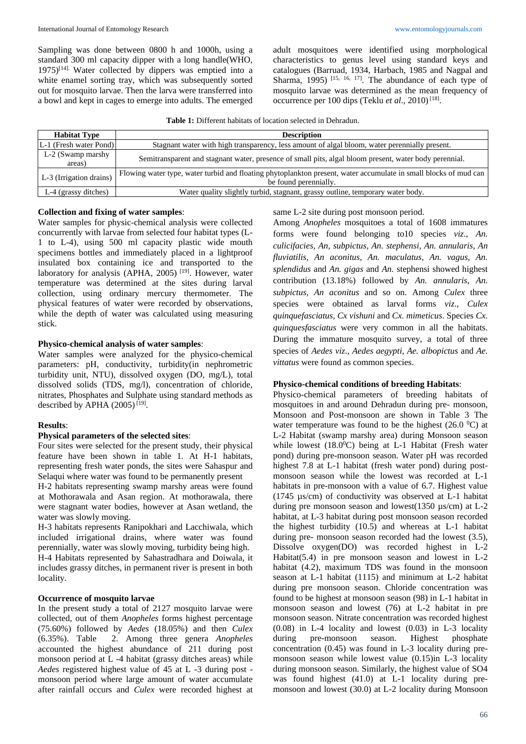Sampling was done between 0800 h and 1000h, using a standard 300 ml capacity dipper with a long handle(WHO,  $1975$ <sup>[14].</sup> Water collected by dippers was emptied into a white enamel sorting tray, which was subsequently sorted out for mosquito larvae. Then the larva were transferred into a bowl and kept in cages to emerge into adults. The emerged adult mosquitoes were identified using morphological characteristics to genus level using standard keys and catalogues (Barruad, 1934, Harbach, 1985 and Nagpal and Sharma, 1995)<sup>[15, 16, 17]</sup>. The abundance of each type of mosquito larvae was determined as the mean frequency of occurrence per 100 dips (Teklu et al., 2010)<sup>[18]</sup>.

**Table 1:** Different habitats of location selected in Dehradun.

| <b>Habitat Type</b>         | <b>Description</b>                                                                                                                        |
|-----------------------------|-------------------------------------------------------------------------------------------------------------------------------------------|
| L-1 (Fresh water Pond)      | Stagnant water with high transparency, less amount of algal bloom, water perennially present.                                             |
| L-2 (Swamp marshy<br>areas) | Semitransparent and stagnant water, presence of small pits, algal bloom present, water body perennial.                                    |
| L-3 (Irrigation drains)     | Flowing water type, water turbid and floating phytoplankton present, water accumulate in small blocks of mud can<br>be found perennially. |
| L-4 (grassy ditches)        | Water quality slightly turbid, stagnant, grassy outline, temporary water body.                                                            |

#### **Collection and fixing of water samples**:

Water samples for physic-chemical analysis were collected concurrently with larvae from selected four habitat types (L-1 to L-4), using 500 ml capacity plastic wide mouth specimens bottles and immediately placed in a lightproof insulated box containing ice and transported to the laboratory for analysis (APHA, 2005)<sup>[19]</sup>. However, water temperature was determined at the sites during larval collection, using ordinary mercury thermometer. The physical features of water were recorded by observations, while the depth of water was calculated using measuring stick.

#### **Physico-chemical analysis of water samples**:

Water samples were analyzed for the physico-chemical parameters: pH, conductivity, turbidity(in nephrometric turbidity unit, NTU), dissolved oxygen (DO, mg/L), total dissolved solids (TDS, mg/l), concentration of chloride, nitrates, Phosphates and Sulphate using standard methods as described by APHA  $(2005)^{[19]}$ .

#### **Results**:

#### **Physical parameters of the selected sites**:

Four sites were selected for the present study, their physical feature have been shown in table 1. At H-1 habitats, representing fresh water ponds, the sites were Sahaspur and Selaqui where water was found to be permanently present

H-2 habitats representing swamp marshy areas were found at Mothorawala and Asan region. At mothorawala, there were stagnant water bodies, however at Asan wetland, the water was slowly moving.

H-3 habitats represents Ranipokhari and Lacchiwala, which included irrigational drains, where water was found perennially, water was slowly moving, turbidity being high. H-4 Habitats represented by Sahastradhara and Doiwala, it includes grassy ditches, in permanent river is present in both locality.

#### **Occurrence of mosquito larvae**

In the present study a total of 2127 mosquito larvae were collected, out of them *Anopheles* forms highest percentage (75.60%) followed by *Aedes* (18.05%) and then *Culex* (6.35%). Table 2. Among three genera *Anopheles*  accounted the highest abundance of 211 during post monsoon period at L -4 habitat (grassy ditches areas) while *Aedes* registered highest value of 45 at L -3 during post monsoon period where large amount of water accumulate after rainfall occurs and *Culex* were recorded highest at same L-2 site during post monsoon period.

Among *Anopheles* mosquitoes a total of 1608 immatures forms were found belonging to10 species *viz*., *An. culicifacies, An, subpictus, An. stephensi, An. annularis, An fluviatilis, An aconitus, An. maculatus, An. vagus, An. splendidus* and *An. gigas* and *An.* stephensi showed highest contribution (13.18%) followed by *An. annularis, An. subpictus, An aconitus* and so on. Among *Culex* three species were obtained as larval forms *viz*., *Culex quinquefasciatus, Cx vishuni* and *Cx. mimeticus*. Species *Cx. quinquesfasciatus* were very common in all the habitats. During the immature mosquito survey, a total of three species of *Aedes viz*., *Aedes aegypti, Ae. albopictus* and *Ae. vittatus* were found as common species.

#### **Physico-chemical conditions of breeding Habitats**:

Physico-chemical parameters of breeding habitats of mosquitoes in and around Dehradun during pre- monsoon, Monsoon and Post-monsoon are shown in Table 3 The water temperature was found to be the highest  $(26.0 \degree C)$  at L-2 Habitat (swamp marshy area) during Monsoon season while lowest  $(18.0^{\circ}C)$  being at L-1 Habitat (Fresh water pond) during pre-monsoon season. Water pH was recorded highest 7.8 at L-1 habitat (fresh water pond) during postmonsoon season while the lowest was recorded at L-1 habitats in pre-monsoon with a value of 6.7. Highest value (1745 µs/cm) of conductivity was observed at L-1 habitat during pre monsoon season and lowest(1350 µs/cm) at L-2 habitat, at L-3 habitat during post monsoon season recorded the highest turbidity (10.5) and whereas at L-1 habitat during pre- monsoon season recorded had the lowest (3.5), Dissolve oxygen(DO) was recorded highest in L-2 Habitat $(5.4)$  in pre monsoon season and lowest in L-2 habitat (4.2), maximum TDS was found in the monsoon season at L-1 habitat (1115) and minimum at L-2 habitat during pre monsoon season. Chloride concentration was found to be highest at monsoon season (98) in L-1 habitat in monsoon season and lowest (76) at L-2 habitat in pre monsoon season. Nitrate concentration was recorded highest (0.08) in L-4 locality and lowest (0.03) in L-3 locality during pre-monsoon season. Highest concentration (0.45) was found in L-3 locality during premonsoon season while lowest value (0.15)in L-3 locality during monsoon season. Similarly, the highest value of SO4 was found highest (41.0) at L-1 locality during premonsoon and lowest (30.0) at L-2 locality during Monsoon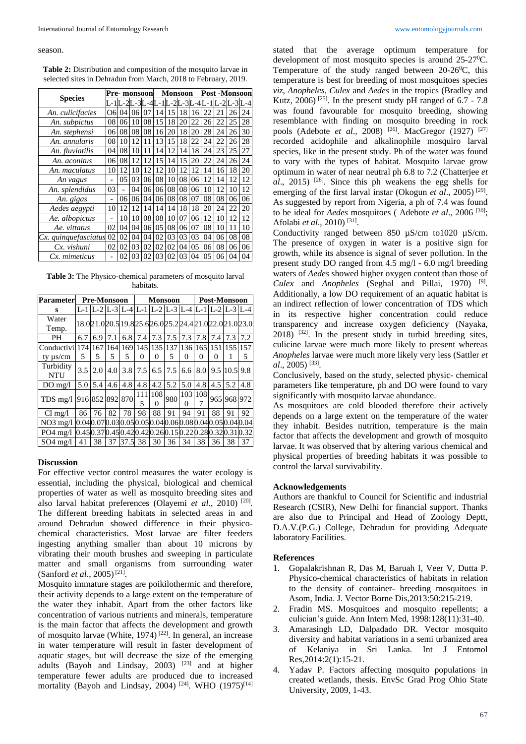season.

**Table 2:** Distribution and composition of the mosquito larvae in selected sites in Dehradun from March, 2018 to February, 2019.

|                      |                | Pre- monsoon   |    |    | <b>Monsoon</b> |                |    |    | Post -Monsoon |                   |         |     |
|----------------------|----------------|----------------|----|----|----------------|----------------|----|----|---------------|-------------------|---------|-----|
| <b>Species</b>       |                |                |    | ЗI | 4L-            | $1L-2L-3L-4L-$ |    |    |               | $1 \mathsf{L}$ -2 | $L - 3$ | 4-, |
| An. culicifacies     | Обl            | 04             | 06 | 07 | 14             | 15             | 18 | 16 | 22            | 21                | 26      | 24  |
| An. subpictus        | 08             | 06             | 10 | 08 | 15             | 18             | 20 | 22 | 26            | 22                | 25      | 28  |
| An. stephensi        | 06             | 08             | 08 | 08 | 16             | 20             | 18 | 20 | 28            | 24                | 26      | 30  |
| An. annularis        | 08             | 10             | 12 | 11 | 13             | 15             | 18 | 22 | 24            | 22                | 26      | 28  |
| An. fluviatilis      | 04             | 08             | 10 | 11 | 14             | 12             | 14 | 18 | 24            | 23                | 25      | 27  |
| An. aconitus         | 06             | 08             | 12 | 12 | 15             | 14             | 15 | 20 | 22            | 24                | 26      | 24  |
| An. maculatus        | 10             | 12             | 10 | 12 | 12             | 10             | 12 | 12 | 14            | 16                | 18      | 20  |
| An vagus             |                | 05             | 03 | 06 | 08             | 10             | 08 | 06 | 12            | 14                | 12      | 12  |
| An. splendidus       | 03             | $\overline{a}$ | 04 | 06 | 06             | 08             | 08 | 06 | 10            | 12                | 10      | 12  |
| An. gigas            | $\overline{a}$ | 06             | 06 | 04 | 06             | 08             | 08 | 07 | 08            | 08                | 06      | 06  |
| Aedes aegypti        | 10             | 12             | 12 | 14 | 14             | 14             | 18 | 18 | 20            | 24                | 22      | 20  |
| Ae. albopictus       | $\overline{a}$ | 10             | 10 | 08 | 08             | 10             | 07 | 06 | 12            | 10                | 12      | 12  |
| Ae. vittatus         | 02             | 04             | 04 | 06 | 05             | 08             | 06 | 07 | 08            | 10                | 11      | 10  |
| Cx. quinquefasciatus | 02             | 02             | 04 | 04 | 02             | 03             | 03 | 03 | 04            | 06                | 08      | 08  |
| Cx. vishuni          | 02             | 02             | 03 | 02 | 02             | 02             | 04 | 05 | 06            | 08                | 06      | 06  |
| Cx. mimeticus        |                | 02             | 03 | 02 | 03             | 02             | 03 | 04 | 05            | 06                | 04      | 04  |

**Table 3:** The Physico-chemical parameters of mosquito larval habitats.

| <b>Parameter</b>        |     | <b>Pre-Monsoon</b> |     |            |          | <b>Monsoon</b>           |     |     | <b>Post-Monsoon</b> |                                                 |          |                                                             |  |
|-------------------------|-----|--------------------|-----|------------|----------|--------------------------|-----|-----|---------------------|-------------------------------------------------|----------|-------------------------------------------------------------|--|
| S                       |     |                    |     |            |          |                          |     |     |                     | L-1 L-2 L-3 L-4 L-1 L-2 L-3 L-4 L-1 L-2 L-3 L-4 |          |                                                             |  |
| Water<br>Temp.          |     |                    |     |            |          |                          |     |     |                     |                                                 |          | 18.0 21.0 20.5 19.8 25.6 26.0 25.2 24.4 21.0 22.0 21.0 23.0 |  |
| PH                      | 6.7 | 6.9                | 7.1 | 6.8        | 7.4      | 7.3                      | 7.5 | 7.3 | 7.8                 | 7.4                                             | 7.3      | 7.2                                                         |  |
| Conductivi              |     | 1741167            |     |            |          |                          |     |     |                     | 164 169 145 135 137 136 165 151 155 157         |          |                                                             |  |
| ty $\mu$ s/cm           | 5   | 5                  | 5   | 5          | 0        | 0                        | 5   | 0   | 0                   | 0                                               |          | 5                                                           |  |
| Turbidity<br><b>NTU</b> | 3.5 | 2.0                | 4.0 | 3.8        | 7.5      | 6.5                      | 7.5 | 6.6 | 8.0                 |                                                 | 9.5 10.5 | 9.8                                                         |  |
| $DO$ mg/l               | 5.0 | 5.4                | 4.6 | 4.8        | 4.8      | 4.2                      | 5.2 | 5.0 | 4.8                 | 4.5                                             | 5.2      | 4.8                                                         |  |
| TDS mg/l                |     | 916 852 892 870    |     |            | 111<br>5 | 108<br>$\mathbf{\Omega}$ | 980 | 0   | 103 108             | 965                                             | 968      | 972                                                         |  |
| $Cl$ mg/l               | 86  | 76                 | 82  | 78         | 98       | 88                       | 91  | 94  | 91                  | 88                                              | 91       | 92                                                          |  |
| $NO3$ mg/l              |     |                    |     |            |          |                          |     |     |                     |                                                 |          | 0.040.070.030.050.050.040.060.080.040.050.040.04            |  |
| $PO4$ mg/l              |     |                    |     |            |          |                          |     |     |                     |                                                 |          | 0.45 0.37 0.45 0.42 0.42 0.26 0.15 0.22 0.28 0.32 0.31 0.32 |  |
| $SO4$ mg/l              | 41  | 38                 |     | 37 37.5 38 |          | 30                       | 36  | 34  | 38                  | 36                                              | 38       | 37                                                          |  |

## **Discussion**

For effective vector control measures the water ecology is essential, including the physical, biological and chemical properties of water as well as mosquito breeding sites and also larval habitat preferences (Olayemi et al., 2010)<sup>[20]</sup>. The different breeding habitats in selected areas in and around Dehradun showed difference in their physicochemical characteristics. Most larvae are filter feeders ingesting anything smaller than about 10 microns by vibrating their mouth brushes and sweeping in particulate matter and small organisms from surrounding water (Sanford *et al.*, 2005)<sup>[21]</sup>.

Mosquito immature stages are poikilothermic and therefore, their activity depends to a large extent on the temperature of the water they inhabit. Apart from the other factors like concentration of various nutrients and minerals, temperature is the main factor that affects the development and growth of mosquito larvae (White, 1974)<sup>[22]</sup>. In general, an increase in water temperature will result in faster development of aquatic stages, but will decrease the size of the emerging adults (Bayoh and Lindsay,  $2003$ )<sup>[23]</sup> and at higher temperature fewer adults are produced due to increased mortality (Bayoh and Lindsay, 2004)<sup>[24]</sup>. WHO (1975)<sup>[14]</sup>

stated that the average optimum temperature for development of most mosquito species is around  $25-27^{\circ}$ C. Temperature of the study ranged between  $20-26^{\circ}$ C, this temperature is best for breeding of most mosquitoes species *viz*, *Anopheles, Culex* and *Aedes* in the tropics (Bradley and Kutz,  $2006$ <sup>[25]</sup>. In the present study pH ranged of 6.7 - 7.8 was found favourable for mosquito breeding, showing resemblance with finding on mosquito breeding in rock pools (Adebote *et al.*, 2008) <sup>[26]</sup>. MacGregor (1927) <sup>[27]</sup> recorded acidophile and alkalinophile mosquiro larval species, like in the present study. Ph of the water was found to vary with the types of habitat. Mosquito larvae grow optimum in water of near neutral ph 6.8 to 7.2 (Chatterjee *et al*., 2015) [28] . Since this ph weakens the egg shells for emerging of the first larval instar (Okogun *et al.*, 2005)<sup>[29]</sup>. As suggested by report from Nigeria, a ph of 7.4 was found to be ideal for *Aedes* mosquitoes ( Adebote *et al*., 2006 [30] ; Afolabi et al., 2010)<sup>[31]</sup>.

Conductivity ranged between 850 µS/cm to1020 µS/cm. The presence of oxygen in water is a positive sign for growth, while its absence is signal of sever pollution. In the present study DO ranged from 4.5 mg/l - 6.0 mg/l breeding waters of *Aedes* showed higher oxygen content than those of *Culex* and *Anopheles* (Seghal and Pillai, 1970) [9] . Additionally, a low DO requirement of an aquatic habitat is an indirect reflection of lower concentration of TDS which in its respective higher concentration could reduce transparency and increase oxygen deficiency (Nayaka, 2018) [32] . In the present study in turbid breeding sites, culicine larvae were much more likely to present whereas *Anopheles* larvae were much more likely very less (Sattler *et al*., 2005) [33] .

Conclusively, based on the study, selected physic- chemical parameters like temperature, ph and DO were found to vary significantly with mosquito larvae abundance.

As mosquitoes are cold blooded therefore their actively depends on a large extent on the temperature of the water they inhabit. Besides nutrition, temperature is the main factor that affects the development and growth of mosquito larvae. It was observed that by altering various chemical and physical properties of breeding habitats it was possible to control the larval survivability.

## **Acknowledgements**

Authors are thankful to Council for Scientific and industrial Research (CSIR), New Delhi for financial support. Thanks are also due to Principal and Head of Zoology Deptt, D.A.V.(P.G.) College, Dehradun for providing Adequate laboratory Facilities.

#### **References**

- 1. Gopalakrishnan R, Das M, Baruah I, Veer V, Dutta P. Physico-chemical characteristics of habitats in relation to the density of container- breeding mosquitoes in Asom, India. J. Vector Borne Dis,2013:50:215-219.
- 2. Fradin MS. Mosquitoes and mosquito repellents; a culician's guide. Ann Intern Med, 1998:128(11):31-40.
- 3. Amarasingh LD, Dalpadado DR. Vector mosquito diversity and habitat variations in a semi urbanized area of Kelaniya in Sri Lanka. Int J Entomol Res,2014:2(1):15-21.
- 4. Yadav P. Factors affecting mosquito populations in created wetlands, thesis. EnvSc Grad Prog Ohio State University, 2009, 1-43.